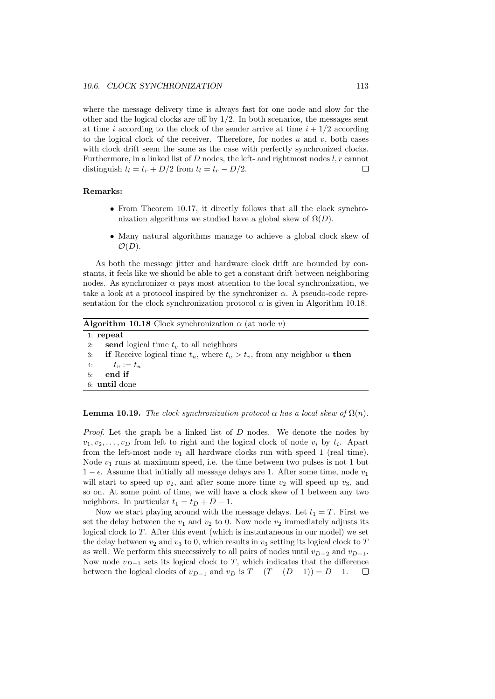where the message delivery time is always fast for one node and slow for the other and the logical clocks are off by 1/2. In both scenarios, the messages sent at time i according to the clock of the sender arrive at time  $i + 1/2$  according to the logical clock of the receiver. Therefore, for nodes  $u$  and  $v$ , both cases with clock drift seem the same as the case with perfectly synchronized clocks. Furthermore, in a linked list of  $D$  nodes, the left- and rightmost nodes  $l, r$  cannot distinguish  $t_l = t_r + D/2$  from  $t_l = t_r - D/2$ .  $\Box$ 

# Remarks:

- From Theorem 10.17, it directly follows that all the clock synchronization algorithms we studied have a global skew of  $\Omega(D)$ .
- Many natural algorithms manage to achieve a global clock skew of  $\mathcal{O}(D)$ .

As both the message jitter and hardware clock drift are bounded by constants, it feels like we should be able to get a constant drift between neighboring nodes. As synchronizer  $\alpha$  pays most attention to the local synchronization, we take a look at a protocol inspired by the synchronizer  $\alpha$ . A pseudo-code representation for the clock synchronization protocol  $\alpha$  is given in Algorithm 10.18.

| <b>Algorithm 10.18</b> Clock synchronization $\alpha$ (at node v) |                                                                                     |  |  |  |
|-------------------------------------------------------------------|-------------------------------------------------------------------------------------|--|--|--|
| 1: repeat                                                         |                                                                                     |  |  |  |
| 2:                                                                | send logical time $t_v$ to all neighbors                                            |  |  |  |
| 3:                                                                | <b>if</b> Receive logical time $t_u$ , where $t_u > t_v$ , from any neighbor u then |  |  |  |
|                                                                   | 4: $t_n := t_n$                                                                     |  |  |  |
| 5:                                                                | end if                                                                              |  |  |  |
| 6: <b>until</b> done                                              |                                                                                     |  |  |  |

**Lemma 10.19.** The clock synchronization protocol  $\alpha$  has a local skew of  $\Omega(n)$ .

Proof. Let the graph be a linked list of D nodes. We denote the nodes by  $v_1, v_2, \ldots, v_D$  from left to right and the logical clock of node  $v_i$  by  $t_i$ . Apart from the left-most node  $v_1$  all hardware clocks run with speed 1 (real time). Node  $v_1$  runs at maximum speed, i.e. the time between two pulses is not 1 but  $1 - \epsilon$ . Assume that initially all message delays are 1. After some time, node  $v_1$ will start to speed up  $v_2$ , and after some more time  $v_2$  will speed up  $v_3$ , and so on. At some point of time, we will have a clock skew of 1 between any two neighbors. In particular  $t_1 = t_D + D - 1$ .

Now we start playing around with the message delays. Let  $t_1 = T$ . First we set the delay between the  $v_1$  and  $v_2$  to 0. Now node  $v_2$  immediately adjusts its logical clock to  $T$ . After this event (which is instantaneous in our model) we set the delay between  $v_2$  and  $v_3$  to 0, which results in  $v_3$  setting its logical clock to T as well. We perform this successively to all pairs of nodes until  $v_{D-2}$  and  $v_{D-1}$ . Now node  $v_{D-1}$  sets its logical clock to T, which indicates that the difference between the logical clocks of  $v_{D-1}$  and  $v_D$  is  $T - (T - (D - 1)) = D - 1$ .  $\Box$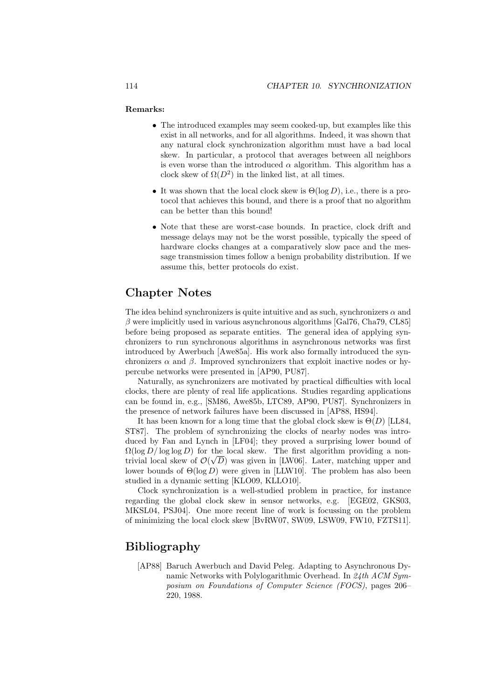#### Remarks:

- The introduced examples may seem cooked-up, but examples like this exist in all networks, and for all algorithms. Indeed, it was shown that any natural clock synchronization algorithm must have a bad local skew. In particular, a protocol that averages between all neighbors is even worse than the introduced  $\alpha$  algorithm. This algorithm has a clock skew of  $\Omega(D^2)$  in the linked list, at all times.
- It was shown that the local clock skew is  $\Theta(\log D)$ , i.e., there is a protocol that achieves this bound, and there is a proof that no algorithm can be better than this bound!
- Note that these are worst-case bounds. In practice, clock drift and message delays may not be the worst possible, typically the speed of hardware clocks changes at a comparatively slow pace and the message transmission times follow a benign probability distribution. If we assume this, better protocols do exist.

# Chapter Notes

The idea behind synchronizers is quite intuitive and as such, synchronizers  $\alpha$  and  $\beta$  were implicitly used in various asynchronous algorithms [Gal76, Cha79, CL85] before being proposed as separate entities. The general idea of applying synchronizers to run synchronous algorithms in asynchronous networks was first introduced by Awerbuch [Awe85a]. His work also formally introduced the synchronizers  $\alpha$  and  $\beta$ . Improved synchronizers that exploit inactive nodes or hypercube networks were presented in [AP90, PU87].

Naturally, as synchronizers are motivated by practical difficulties with local clocks, there are plenty of real life applications. Studies regarding applications can be found in, e.g., [SM86, Awe85b, LTC89, AP90, PU87]. Synchronizers in the presence of network failures have been discussed in [AP88, HS94].

It has been known for a long time that the global clock skew is  $\Theta(D)$  [LL84, ST87]. The problem of synchronizing the clocks of nearby nodes was introduced by Fan and Lynch in [LF04]; they proved a surprising lower bound of  $\Omega(\log D/\log\log D)$  for the local skew. The first algorithm providing a nontrivial local skew of  $\mathcal{O}(\sqrt{D})$  was given in [LW06]. Later, matching upper and lower bounds of  $\Theta(\log D)$  were given in [LLW10]. The problem has also been studied in a dynamic setting [KLO09, KLLO10].

Clock synchronization is a well-studied problem in practice, for instance regarding the global clock skew in sensor networks, e.g. [EGE02, GKS03, MKSL04, PSJ04]. One more recent line of work is focussing on the problem of minimizing the local clock skew [BvRW07, SW09, LSW09, FW10, FZTS11].

# Bibliography

[AP88] Baruch Awerbuch and David Peleg. Adapting to Asynchronous Dynamic Networks with Polylogarithmic Overhead. In 24th ACM Symposium on Foundations of Computer Science (FOCS), pages 206– 220, 1988.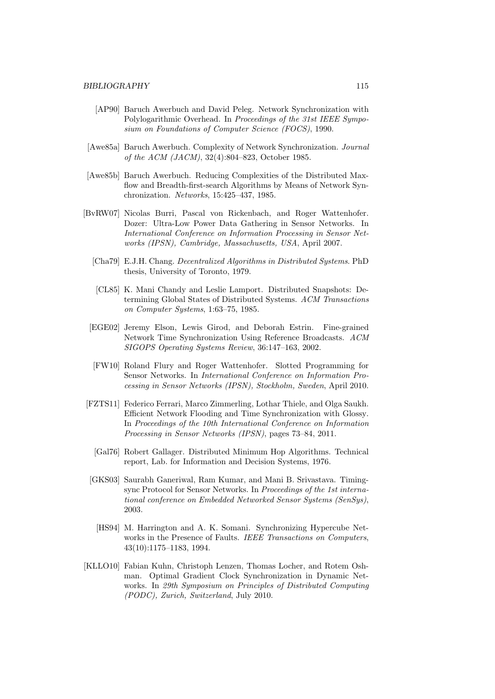- [AP90] Baruch Awerbuch and David Peleg. Network Synchronization with Polylogarithmic Overhead. In Proceedings of the 31st IEEE Symposium on Foundations of Computer Science (FOCS), 1990.
- [Awe85a] Baruch Awerbuch. Complexity of Network Synchronization. Journal of the ACM (JACM), 32(4):804–823, October 1985.
- [Awe85b] Baruch Awerbuch. Reducing Complexities of the Distributed Maxflow and Breadth-first-search Algorithms by Means of Network Synchronization. Networks, 15:425–437, 1985.
- [BvRW07] Nicolas Burri, Pascal von Rickenbach, and Roger Wattenhofer. Dozer: Ultra-Low Power Data Gathering in Sensor Networks. In International Conference on Information Processing in Sensor Networks (IPSN), Cambridge, Massachusetts, USA, April 2007.
	- [Cha79] E.J.H. Chang. Decentralized Algorithms in Distributed Systems. PhD thesis, University of Toronto, 1979.
	- [CL85] K. Mani Chandy and Leslie Lamport. Distributed Snapshots: Determining Global States of Distributed Systems. ACM Transactions on Computer Systems, 1:63–75, 1985.
	- [EGE02] Jeremy Elson, Lewis Girod, and Deborah Estrin. Fine-grained Network Time Synchronization Using Reference Broadcasts. ACM SIGOPS Operating Systems Review, 36:147–163, 2002.
	- [FW10] Roland Flury and Roger Wattenhofer. Slotted Programming for Sensor Networks. In International Conference on Information Processing in Sensor Networks (IPSN), Stockholm, Sweden, April 2010.
- [FZTS11] Federico Ferrari, Marco Zimmerling, Lothar Thiele, and Olga Saukh. Efficient Network Flooding and Time Synchronization with Glossy. In Proceedings of the 10th International Conference on Information Processing in Sensor Networks (IPSN), pages 73–84, 2011.
	- [Gal76] Robert Gallager. Distributed Minimum Hop Algorithms. Technical report, Lab. for Information and Decision Systems, 1976.
- [GKS03] Saurabh Ganeriwal, Ram Kumar, and Mani B. Srivastava. Timingsync Protocol for Sensor Networks. In Proceedings of the 1st international conference on Embedded Networked Sensor Systems (SenSys), 2003.
- [HS94] M. Harrington and A. K. Somani. Synchronizing Hypercube Networks in the Presence of Faults. IEEE Transactions on Computers, 43(10):1175–1183, 1994.
- [KLLO10] Fabian Kuhn, Christoph Lenzen, Thomas Locher, and Rotem Oshman. Optimal Gradient Clock Synchronization in Dynamic Networks. In 29th Symposium on Principles of Distributed Computing (PODC), Zurich, Switzerland, July 2010.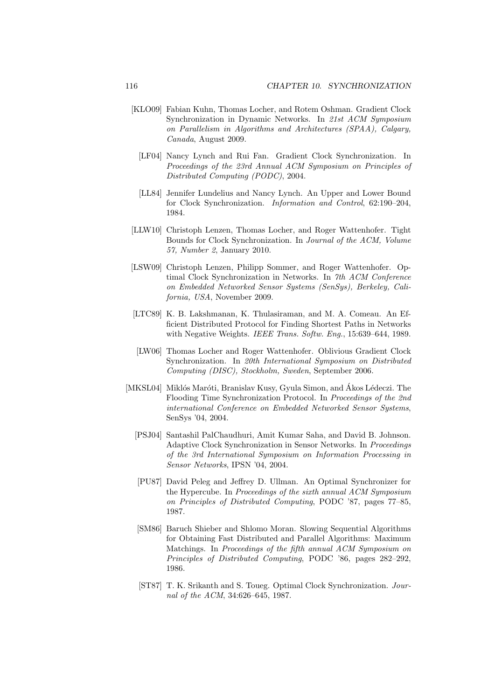- [KLO09] Fabian Kuhn, Thomas Locher, and Rotem Oshman. Gradient Clock Synchronization in Dynamic Networks. In 21st ACM Symposium on Parallelism in Algorithms and Architectures (SPAA), Calgary, Canada, August 2009.
	- [LF04] Nancy Lynch and Rui Fan. Gradient Clock Synchronization. In Proceedings of the 23rd Annual ACM Symposium on Principles of Distributed Computing (PODC), 2004.
	- [LL84] Jennifer Lundelius and Nancy Lynch. An Upper and Lower Bound for Clock Synchronization. Information and Control, 62:190–204, 1984.
- [LLW10] Christoph Lenzen, Thomas Locher, and Roger Wattenhofer. Tight Bounds for Clock Synchronization. In Journal of the ACM, Volume 57, Number 2, January 2010.
- [LSW09] Christoph Lenzen, Philipp Sommer, and Roger Wattenhofer. Optimal Clock Synchronization in Networks. In 7th ACM Conference on Embedded Networked Sensor Systems (SenSys), Berkeley, California, USA, November 2009.
- [LTC89] K. B. Lakshmanan, K. Thulasiraman, and M. A. Comeau. An Efficient Distributed Protocol for Finding Shortest Paths in Networks with Negative Weights. IEEE Trans. Softw. Eng., 15:639–644, 1989.
- [LW06] Thomas Locher and Roger Wattenhofer. Oblivious Gradient Clock Synchronization. In 20th International Symposium on Distributed Computing (DISC), Stockholm, Sweden, September 2006.
- [MKSL04] Miklós Maróti, Branislav Kusy, Gyula Simon, and Ákos Lédeczi. The Flooding Time Synchronization Protocol. In Proceedings of the 2nd international Conference on Embedded Networked Sensor Systems, SenSys '04, 2004.
	- [PSJ04] Santashil PalChaudhuri, Amit Kumar Saha, and David B. Johnson. Adaptive Clock Synchronization in Sensor Networks. In Proceedings of the 3rd International Symposium on Information Processing in Sensor Networks, IPSN '04, 2004.
	- [PU87] David Peleg and Jeffrey D. Ullman. An Optimal Synchronizer for the Hypercube. In Proceedings of the sixth annual ACM Symposium on Principles of Distributed Computing, PODC '87, pages 77–85, 1987.
	- [SM86] Baruch Shieber and Shlomo Moran. Slowing Sequential Algorithms for Obtaining Fast Distributed and Parallel Algorithms: Maximum Matchings. In Proceedings of the fifth annual ACM Symposium on Principles of Distributed Computing, PODC '86, pages 282–292, 1986.
	- [ST87] T. K. Srikanth and S. Toueg. Optimal Clock Synchronization. Journal of the ACM, 34:626–645, 1987.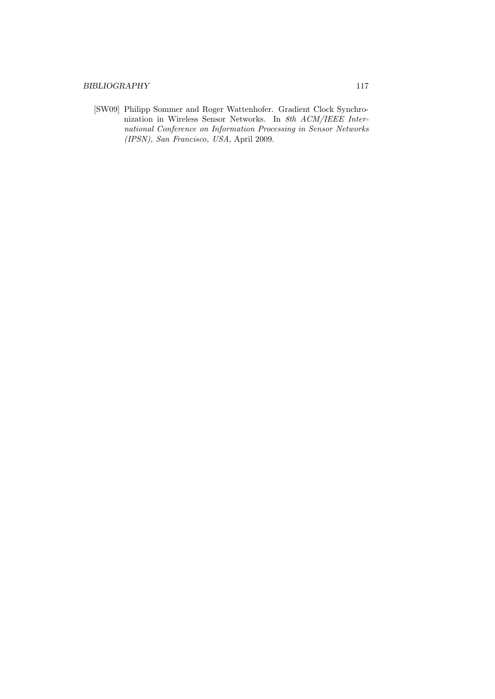# BIBLIOGRAPHY 117

[SW09] Philipp Sommer and Roger Wattenhofer. Gradient Clock Synchronization in Wireless Sensor Networks. In 8th ACM/IEEE International Conference on Information Processing in Sensor Networks (IPSN), San Francisco, USA, April 2009.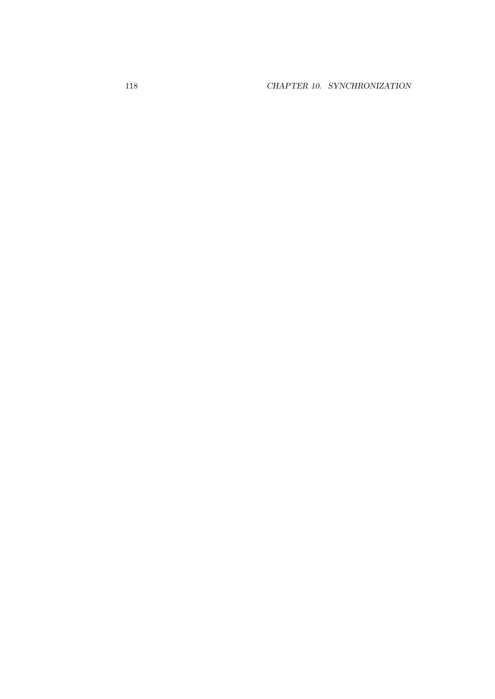CHAPTER 10. SYNCHRONIZATION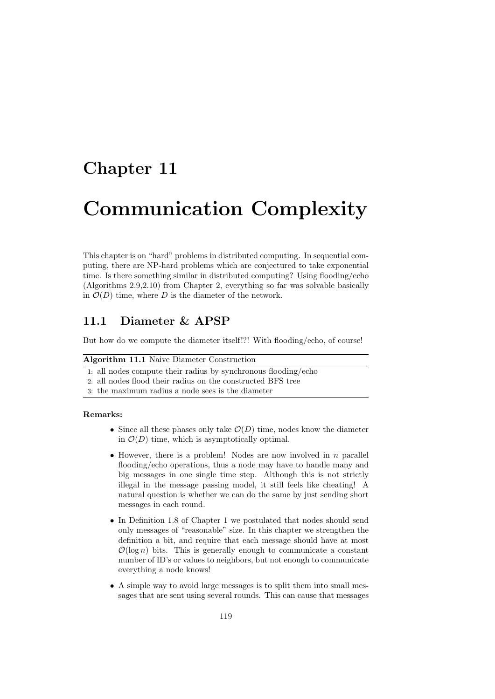# Chapter 11

# Communication Complexity

This chapter is on "hard" problems in distributed computing. In sequential computing, there are NP-hard problems which are conjectured to take exponential time. Is there something similar in distributed computing? Using flooding/echo (Algorithms 2.9,2.10) from Chapter 2, everything so far was solvable basically in  $\mathcal{O}(D)$  time, where D is the diameter of the network.

# 11.1 Diameter & APSP

But how do we compute the diameter itself!?! With flooding/echo, of course!

| <b>Algorithm 11.1</b> Naive Diameter Construction |  |
|---------------------------------------------------|--|
|---------------------------------------------------|--|

1: all nodes compute their radius by synchronous flooding/echo

2: all nodes flood their radius on the constructed BFS tree

3: the maximum radius a node sees is the diameter

# Remarks:

- Since all these phases only take  $\mathcal{O}(D)$  time, nodes know the diameter in  $\mathcal{O}(D)$  time, which is asymptotically optimal.
- However, there is a problem! Nodes are now involved in  $n$  parallel flooding/echo operations, thus a node may have to handle many and big messages in one single time step. Although this is not strictly illegal in the message passing model, it still feels like cheating! A natural question is whether we can do the same by just sending short messages in each round.
- In Definition 1.8 of Chapter 1 we postulated that nodes should send only messages of "reasonable" size. In this chapter we strengthen the definition a bit, and require that each message should have at most  $\mathcal{O}(\log n)$  bits. This is generally enough to communicate a constant number of ID's or values to neighbors, but not enough to communicate everything a node knows!
- A simple way to avoid large messages is to split them into small messages that are sent using several rounds. This can cause that messages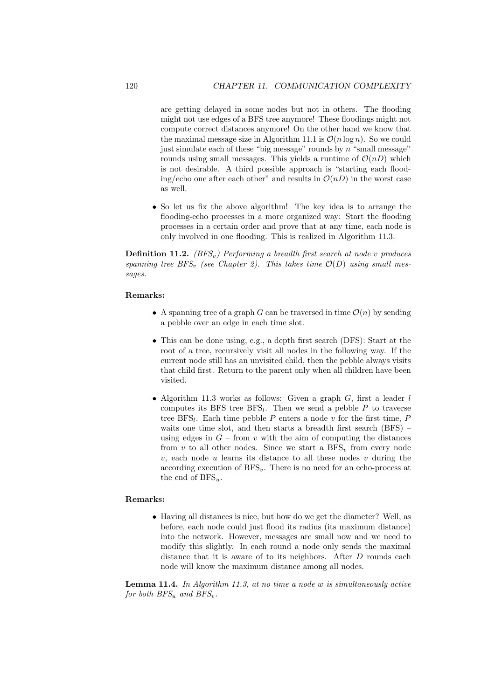are getting delayed in some nodes but not in others. The flooding might not use edges of a BFS tree anymore! These floodings might not compute correct distances anymore! On the other hand we know that the maximal message size in Algorithm 11.1 is  $\mathcal{O}(n \log n)$ . So we could just simulate each of these "big message" rounds by  $n$  "small message" rounds using small messages. This yields a runtime of  $\mathcal{O}(n)$  which is not desirable. A third possible approach is "starting each flooding/echo one after each other" and results in  $\mathcal{O}(n)$  in the worst case as well.

• So let us fix the above algorithm! The key idea is to arrange the flooding-echo processes in a more organized way: Start the flooding processes in a certain order and prove that at any time, each node is only involved in one flooding. This is realized in Algorithm 11.3.

**Definition 11.2.** (BFS<sub>v</sub>) Performing a breadth first search at node v produces spanning tree BFS, (see Chapter 2). This takes time  $\mathcal{O}(D)$  using small messages.

# Remarks:

- A spanning tree of a graph G can be traversed in time  $\mathcal{O}(n)$  by sending a pebble over an edge in each time slot.
- This can be done using, e.g., a depth first search (DFS): Start at the root of a tree, recursively visit all nodes in the following way. If the current node still has an unvisited child, then the pebble always visits that child first. Return to the parent only when all children have been visited.
- Algorithm 11.3 works as follows: Given a graph  $G$ , first a leader  $l$ computes its BFS tree  $BFS<sub>l</sub>$ . Then we send a pebble P to traverse tree  $BFS_l$ . Each time pebble P enters a node v for the first time, F waits one time slot, and then starts a breadth first search (BFS) – using edges in  $G$  – from  $v$  with the aim of computing the distances from  $v$  to all other nodes. Since we start a  $BFS_v$  from every node  $v$ , each node  $u$  learns its distance to all these nodes  $v$  during the according execution of  $BFS_v$ . There is no need for an echo-process at the end of  $BFS_u$ .

### Remarks:

• Having all distances is nice, but how do we get the diameter? Well, as before, each node could just flood its radius (its maximum distance) into the network. However, messages are small now and we need to modify this slightly. In each round a node only sends the maximal distance that it is aware of to its neighbors. After D rounds each node will know the maximum distance among all nodes.

Lemma 11.4. In Algorithm 11.3, at no time a node w is simultaneously active for both  $BFS_u$  and  $BFS_v$ .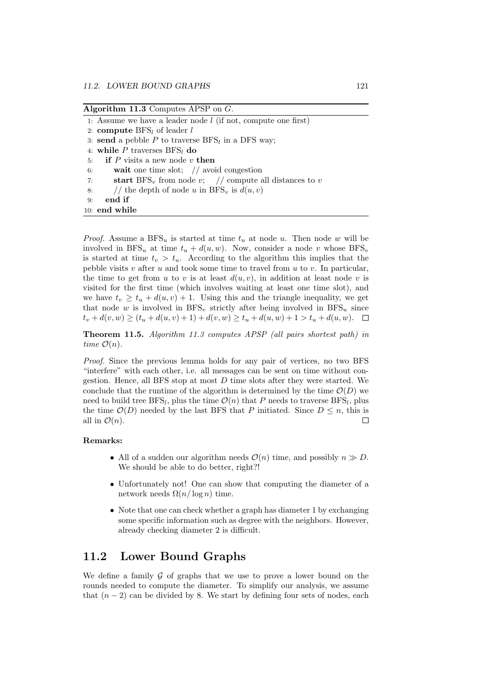Algorithm 11.3 Computes APSP on G.

```
1: Assume we have a leader node l (if not, compute one first)
2: compute BFS<sub>l</sub> of leader l
 3: send a pebble P to traverse BFS<sub>l</sub> in a DFS way;
4: while P traverses BFS<sub>l</sub> do
5: if P visits a new node v then
6: wait one time slot; // avoid congestion
7: start BFS_v from node v; // compute all distances to v
8: // the depth of node u in BFS_v is d(u, v)9: end if
10: end while
```
*Proof.* Assume a  $BFS_u$  is started at time  $t_u$  at node u. Then node w will be involved in  $BFS_u$  at time  $t_u + d(u, w)$ . Now, consider a node v whose  $BFS_v$ is started at time  $t_v > t_u$ . According to the algorithm this implies that the pebble visits  $v$  after  $u$  and took some time to travel from  $u$  to  $v$ . In particular, the time to get from u to v is at least  $d(u, v)$ , in addition at least node v is visited for the first time (which involves waiting at least one time slot), and we have  $t_v \geq t_u + d(u, v) + 1$ . Using this and the triangle inequality, we get that node w is involved in  $BFS_v$  strictly after being involved in  $BFS_u$  since  $t_v + d(v, w) \ge (t_u + d(u, v) + 1) + d(v, w) \ge t_u + d(u, w) + 1 > t_u + d(u, w).$ 

Theorem 11.5. Algorithm 11.3 computes APSP (all pairs shortest path) in time  $\mathcal{O}(n)$ .

Proof. Since the previous lemma holds for any pair of vertices, no two BFS "interfere" with each other, i.e. all messages can be sent on time without congestion. Hence, all BFS stop at most  $D$  time slots after they were started. We conclude that the runtime of the algorithm is determined by the time  $\mathcal{O}(D)$  we need to build tree  $BFS_l$ , plus the time  $\mathcal{O}(n)$  that P needs to traverse  $BFS_l$ , plus the time  $\mathcal{O}(D)$  needed by the last BFS that P initiated. Since  $D \leq n$ , this is all in  $\mathcal{O}(n)$ .  $\Box$ 

#### Remarks:

- All of a sudden our algorithm needs  $\mathcal{O}(n)$  time, and possibly  $n \gg D$ . We should be able to do better, right?!
- Unfortunately not! One can show that computing the diameter of a network needs  $\Omega(n/\log n)$  time.
- Note that one can check whether a graph has diameter 1 by exchanging some specific information such as degree with the neighbors. However, already checking diameter 2 is difficult.

# 11.2 Lower Bound Graphs

We define a family  $\mathcal G$  of graphs that we use to prove a lower bound on the rounds needed to compute the diameter. To simplify our analysis, we assume that  $(n-2)$  can be divided by 8. We start by defining four sets of nodes, each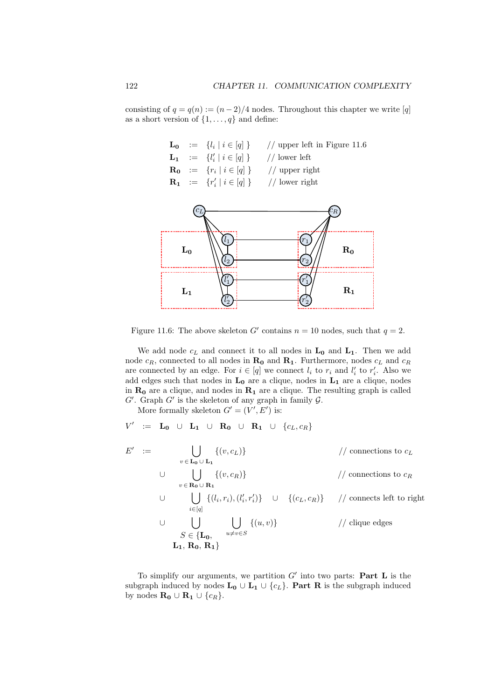consisting of  $q = q(n) := (n-2)/4$  nodes. Throughout this chapter we write [q] as a short version of  $\{1, \ldots, q\}$  and define:





Figure 11.6: The above skeleton G' contains  $n = 10$  nodes, such that  $q = 2$ .

We add node  $c<sub>L</sub>$  and connect it to all nodes in  $\mathbf{L_0}$  and  $\mathbf{L_1}$ . Then we add node  $c_R$ , connected to all nodes in  $\mathbf{R_0}$  and  $\mathbf{R_1}$ . Furthermore, nodes  $c_L$  and  $c_R$ are connected by an edge. For  $i \in [q]$  we connect  $l_i$  to  $r_i$  and  $l'_i$  to  $r'_i$ . Also we add edges such that nodes in  $L_0$  are a clique, nodes in  $L_1$  are a clique, nodes in  $R_0$  are a clique, and nodes in  $R_1$  are a clique. The resulting graph is called  $G'$ . Graph  $G'$  is the skeleton of any graph in family  $G$ .

More formally skeleton  $G' = (V', E')$  is:

$$
V' := L_0 \cup L_1 \cup R_0 \cup R_1 \cup \{c_L, c_R\}
$$

$$
E' := \bigcup_{v \in \mathbf{L_0} \cup \mathbf{L_1}} \{(v, c_L)\} \qquad // \text{ connections to } c_L
$$
  
\n
$$
\cup \bigcup_{v \in \mathbf{R_0} \cup \mathbf{R_1}} \{(v, c_R)\} \qquad // \text{ connections to } c_R
$$
  
\n
$$
\cup \bigcup_{i \in [q]} \{(l_i, r_i), (l'_i, r'_i)\} \cup \{(c_L, c_R)\} \qquad // \text{connects left to right}
$$
  
\n
$$
\cup \bigcup_{S \in \{\mathbf{L_0}, \quad u \neq v \in S} \{(u, v)\} \qquad // \text{clique edges}
$$
  
\n
$$
\mathbf{L_1}, \mathbf{R_0}, \mathbf{R_1}\}
$$

To simplify our arguments, we partition  $G'$  into two parts: **Part L** is the subgraph induced by nodes  $\mathbf{L}_0 \cup \mathbf{L}_1 \cup \{c_L\}$ . Part R is the subgraph induced by nodes  $\mathbf{R_0} \cup \mathbf{R_1} \cup \{c_R\}.$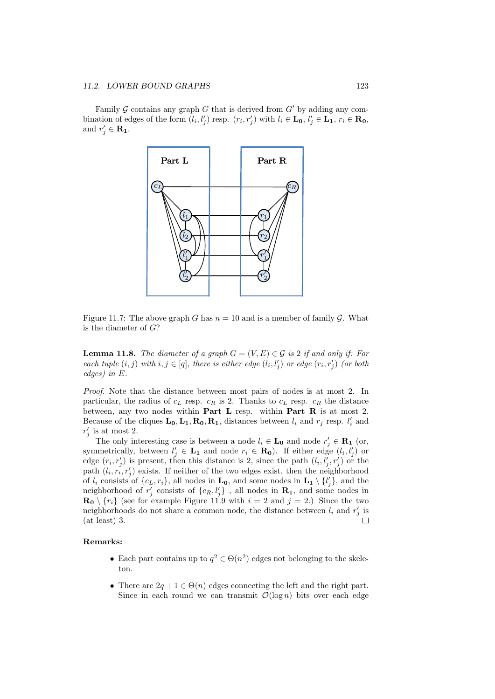Family  $\mathcal G$  contains any graph  $G$  that is derived from  $G'$  by adding any combination of edges of the form  $(l_i, l'_j)$  resp.  $(r_i, r'_j)$  with  $l_i \in \mathbf{L_0}, l'_j \in \mathbf{L_1}, r_i \in \mathbf{R_0},$ and  $r'_j \in \mathbf{R_1}$ .



Figure 11.7: The above graph G has  $n = 10$  and is a member of family G. What is the diameter of G?

**Lemma 11.8.** The diameter of a graph  $G = (V, E) \in \mathcal{G}$  is 2 if and only if: For each tuple  $(i, j)$  with  $i, j \in [q]$ , there is either edge  $(l_i, l'_j)$  or edge  $(r_i, r'_j)$  (or both edges) in E.

Proof. Note that the distance between most pairs of nodes is at most 2. In particular, the radius of  $c<sub>L</sub>$  resp.  $c<sub>R</sub>$  is 2. Thanks to  $c<sub>L</sub>$  resp.  $c<sub>R</sub>$  the distance between, any two nodes within Part L resp. within Part R is at most 2. Because of the cliques  $\mathbf{L_0}, \mathbf{L_1}, \mathbf{R_0}, \mathbf{R_1}$ , distances between  $l_i$  and  $r_j$  resp.  $l'_i$  and  $r'_j$  is at most 2.

The only interesting case is between a node  $l_i \in \mathbf{L_0}$  and node  $r'_j \in \mathbf{R_1}$  (or, symmetrically, between  $l'_j \in \mathbf{L_1}$  and node  $r_i \in \mathbf{R_0}$ . If either edge  $(l_i, l'_j)$  or edge  $(r_i, r'_j)$  is present, then this distance is 2, since the path  $(l_i, l'_j, r'_j)$  or the path  $(l_i, r_i, r_j)$  exists. If neither of the two edges exist, then the neighborhood of  $l_i$  consists of  $\{c_L, r_i\}$ , all nodes in  $\mathbf{L_0}$ , and some nodes in  $\mathbf{L_1} \setminus \{l'_j\}$ , and the neighborhood of  $r'_j$  consists of  $\{c_R, l'_j\}$ , all nodes in  $\mathbf{R}_1$ , and some nodes in  $\mathbf{R_0} \setminus \{r_i\}$  (see for example Figure 11.9 with  $i = 2$  and  $j = 2$ .) Since the two neighborhoods do not share a common node, the distance between  $l_i$  and  $r'_j$  is (at least) 3.  $\Box$ 

#### Remarks:

- Each part contains up to  $q^2 \in \Theta(n^2)$  edges not belonging to the skeleton.
- There are  $2q + 1 \in \Theta(n)$  edges connecting the left and the right part. Since in each round we can transmit  $\mathcal{O}(\log n)$  bits over each edge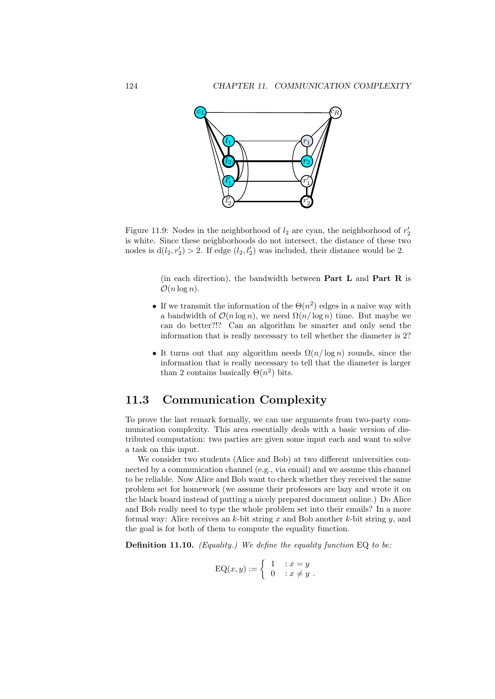

Figure 11.9: Nodes in the neighborhood of  $l_2$  are cyan, the neighborhood of  $r'_2$ is white. Since these neighborhoods do not intersect, the distance of these two nodes is  $d(l_2, r'_2) > 2$ . If edge  $(l_2, l'_2)$  was included, their distance would be 2.

(in each direction), the bandwidth between **Part L** and **Part R** is  $\mathcal{O}(n \log n)$ .

- If we transmit the information of the  $\Theta(n^2)$  edges in a naive way with a bandwidth of  $\mathcal{O}(n \log n)$ , we need  $\Omega(n/\log n)$  time. But maybe we can do better?!? Can an algorithm be smarter and only send the information that is really necessary to tell whether the diameter is 2?
- It turns out that any algorithm needs  $\Omega(n/\log n)$  rounds, since the information that is really necessary to tell that the diameter is larger than 2 contains basically  $\Theta(n^2)$  bits.

# 11.3 Communication Complexity

To prove the last remark formally, we can use arguments from two-party communication complexity. This area essentially deals with a basic version of distributed computation: two parties are given some input each and want to solve a task on this input.

We consider two students (Alice and Bob) at two different universities connected by a communication channel (e.g., via email) and we assume this channel to be reliable. Now Alice and Bob want to check whether they received the same problem set for homework (we assume their professors are lazy and wrote it on the black board instead of putting a nicely prepared document online.) Do Alice and Bob really need to type the whole problem set into their emails? In a more formal way: Alice receives an k-bit string x and Bob another k-bit string y, and the goal is for both of them to compute the equality function.

**Definition 11.10.** (Equality.) We define the equality function EQ to be:

$$
EQ(x,y) := \begin{cases} 1 & : x = y \\ 0 & : x \neq y \end{cases}
$$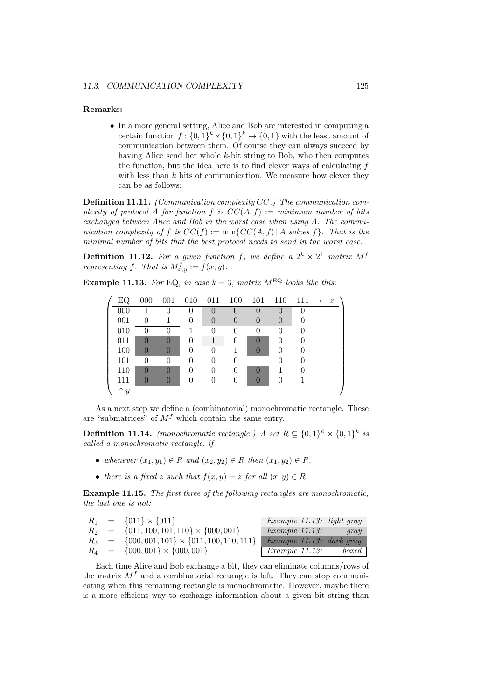#### Remarks:

• In a more general setting, Alice and Bob are interested in computing a certain function  $f: \{0,1\}^k \times \{0,1\}^k \to \{0,1\}$  with the least amount of communication between them. Of course they can always succeed by having Alice send her whole k-bit string to Bob, who then computes the function, but the idea here is to find clever ways of calculating  $f$ with less than  $k$  bits of communication. We measure how clever they can be as follows:

Definition 11.11. (Communication complexity CC.) The communication complexity of protocol A for function f is  $CC(A, f) := minimum number$  of bits exchanged between Alice and Bob in the worst case when using A. The communication complexity of f is  $CC(f) := min{CC(A, f) | A}$  solves f}. That is the minimal number of bits that the best protocol needs to send in the worst case.

**Definition 11.12.** For a given function f, we define a  $2^k \times 2^k$  matrix  $M^f$ representing f. That is  $M_{x,y}^f := f(x,y)$ .

**Example 11.13.** For EQ, in case  $k = 3$ , matrix  $M<sup>EQ</sup>$  looks like this:

| EQ           | 000              | 001              | 010      | 011      | 100              | 101          | 110      | 111      | $\leftarrow x$ |
|--------------|------------------|------------------|----------|----------|------------------|--------------|----------|----------|----------------|
| 000          |                  | 0                |          | $\theta$ | $\theta$         | $\theta$     | 0        |          |                |
| 001          | $\Omega$         |                  | $\Omega$ | $\Omega$ | $\theta$         | $\Omega$     | $\theta$ |          |                |
| 010          | $\left( \right)$ | $\left( \right)$ |          | 0        | 0                | 0            | 0        | $\Omega$ |                |
| 011          |                  | 0                | 0        | 1        | 0                | $\Omega$     | 0        |          |                |
| 100          | $\Omega$         | $\mathbf{0}$     | $\theta$ | 0        |                  | $\mathbf{I}$ | $\theta$ |          |                |
| 101          | 0                | 0                | 0        | $\Omega$ | $\left( \right)$ |              | 0        |          |                |
| 110          |                  | 0                | 0        | 0        | $\theta$         | $\mathbf{0}$ |          |          |                |
| 111          | $\Omega$         | 0                | 0        | 0        | $\theta$         | $\Omega$     | $\Omega$ |          |                |
| $\uparrow y$ |                  |                  |          |          |                  |              |          |          |                |

As a next step we define a (combinatorial) monochromatic rectangle. These are "submatrices" of  $M<sup>f</sup>$  which contain the same entry.

**Definition 11.14.** (monochromatic rectangle.) A set  $R \subseteq \{0,1\}^k \times \{0,1\}^k$  is called a monochromatic rectangle, if

- whenever  $(x_1, y_1) \in R$  and  $(x_2, y_2) \in R$  then  $(x_1, y_2) \in R$ .
- there is a fixed z such that  $f(x, y) = z$  for all  $(x, y) \in R$ .

Example 11.15. The first three of the following rectangles are monochromatic, the last one is not:

|  | $R_1 = \{011\} \times \{011\}$                          | Example 11.13: light gray |                |
|--|---------------------------------------------------------|---------------------------|----------------|
|  | $R_2 = \{011, 100, 101, 110\} \times \{000, 001\}$      | Example $11.13$ :         | qray           |
|  | $R_3 = \{000, 001, 101\} \times \{011, 100, 110, 111\}$ | Example 11.13: dark gray  |                |
|  | $R_4 = \{000, 001\} \times \{000, 001\}$                | $Example 11.13$ :         | $\emph{boxed}$ |

Each time Alice and Bob exchange a bit, they can eliminate columns/rows of the matrix  $M<sup>f</sup>$  and a combinatorial rectangle is left. They can stop communicating when this remaining rectangle is monochromatic. However, maybe there is a more efficient way to exchange information about a given bit string than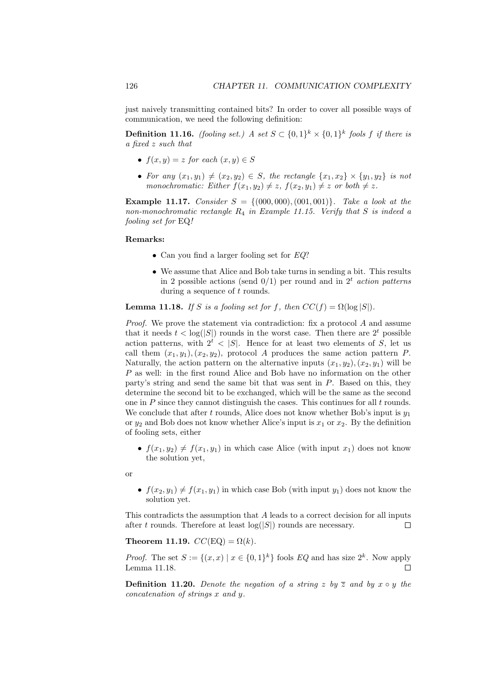just naively transmitting contained bits? In order to cover all possible ways of communication, we need the following definition:

**Definition 11.16.** (fooling set.) A set  $S \subset \{0,1\}^k \times \{0,1\}^k$  fools f if there is a fixed z such that

- $f(x, y) = z$  for each  $(x, y) \in S$
- For any  $(x_1, y_1) \neq (x_2, y_2) \in S$ , the rectangle  $\{x_1, x_2\} \times \{y_1, y_2\}$  is not monochromatic: Either  $f(x_1, y_2) \neq z$ ,  $f(x_2, y_1) \neq z$  or both  $\neq z$ .

**Example 11.17.** Consider  $S = \{(000, 000), (001, 001)\}$ . Take a look at the non-monochromatic rectangle  $R_4$  in Example 11.15. Verify that S is indeed a fooling set for EQ!

#### Remarks:

- Can you find a larger fooling set for  $EQ$ ?
- We assume that Alice and Bob take turns in sending a bit. This results in 2 possible actions (send  $0/1$ ) per round and in  $2<sup>t</sup>$  action patterns during a sequence of t rounds.

**Lemma 11.18.** If S is a fooling set for f, then  $CC(f) = \Omega(\log |S|)$ .

*Proof.* We prove the statement via contradiction: fix a protocol  $A$  and assume that it needs  $t < \log(|S|)$  rounds in the worst case. Then there are  $2^t$  possible action patterns, with  $2^t$  < |S|. Hence for at least two elements of S, let us call them  $(x_1, y_1), (x_2, y_2)$ , protocol A produces the same action pattern P. Naturally, the action pattern on the alternative inputs  $(x_1, y_2), (x_2, y_1)$  will be P as well: in the first round Alice and Bob have no information on the other party's string and send the same bit that was sent in P. Based on this, they determine the second bit to be exchanged, which will be the same as the second one in  $P$  since they cannot distinguish the cases. This continues for all  $t$  rounds. We conclude that after t rounds, Alice does not know whether Bob's input is  $y_1$ or  $y_2$  and Bob does not know whether Alice's input is  $x_1$  or  $x_2$ . By the definition of fooling sets, either

•  $f(x_1, y_2) \neq f(x_1, y_1)$  in which case Alice (with input  $x_1$ ) does not know the solution yet,

or

•  $f(x_2, y_1) \neq f(x_1, y_1)$  in which case Bob (with input  $y_1$ ) does not know the solution yet.

This contradicts the assumption that A leads to a correct decision for all inputs after t rounds. Therefore at least  $log(|S|)$  rounds are necessary.  $\Box$ 

Theorem 11.19.  $CC(EQ) = \Omega(k)$ .

*Proof.* The set  $S := \{(x, x) | x \in \{0, 1\}^k\}$  fools  $EQ$  and has size  $2^k$ . Now apply Lemma 11.18.  $\Box$ 

**Definition 11.20.** Denote the negation of a string z by  $\overline{z}$  and by  $x \circ y$  the concatenation of strings x and y.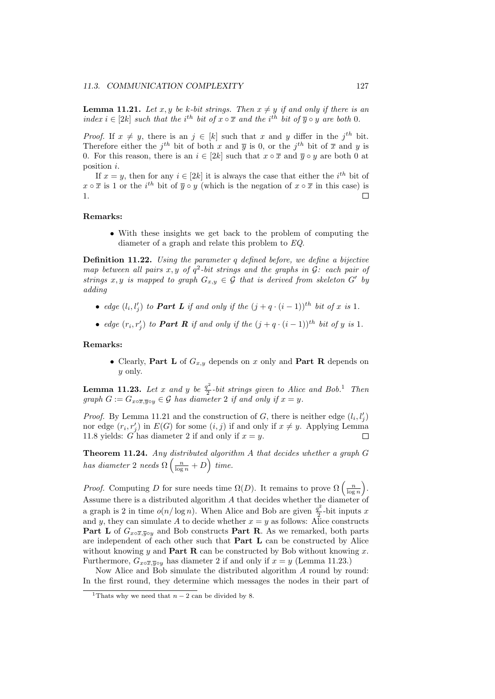**Lemma 11.21.** Let x, y be k-bit strings. Then  $x \neq y$  if and only if there is an index  $i \in [2k]$  such that the i<sup>th</sup> bit of  $x \circ \overline{x}$  and the i<sup>th</sup> bit of  $\overline{y} \circ y$  are both 0.

*Proof.* If  $x \neq y$ , there is an  $j \in [k]$  such that x and y differ in the j<sup>th</sup> bit. Therefore either the  $j<sup>th</sup>$  bit of both x and  $\overline{y}$  is 0, or the  $j<sup>th</sup>$  bit of  $\overline{x}$  and y is 0. For this reason, there is an  $i \in [2k]$  such that  $x \circ \overline{x}$  and  $\overline{y} \circ y$  are both 0 at position i.

If  $x = y$ , then for any  $i \in [2k]$  it is always the case that either the  $i^{th}$  bit of  $x \circ \overline{x}$  is 1 or the i<sup>th</sup> bit of  $\overline{y} \circ y$  (which is the negation of  $x \circ \overline{x}$  in this case) is 1.  $\Box$ 

#### Remarks:

• With these insights we get back to the problem of computing the diameter of a graph and relate this problem to EQ.

Definition 11.22. Using the parameter q defined before, we define a bijective map between all pairs x, y of  $q^2$ -bit strings and the graphs in  $G$ : each pair of strings x, y is mapped to graph  $G_{x,y} \in \mathcal{G}$  that is derived from skeleton G' by adding

- edge  $(l_i, l'_j)$  to **Part L** if and only if the  $(j + q \cdot (i 1))$ <sup>th</sup> bit of x is 1.
- edge  $(r_i, r'_j)$  to **Part R** if and only if the  $(j + q \cdot (i 1))$ <sup>th</sup> bit of y is 1.

#### Remarks:

• Clearly, Part L of  $G_{x,y}$  depends on x only and Part R depends on y only.

**Lemma 11.23.** Let x and y be  $\frac{q^2}{2}$  $\frac{q^2}{2}$ -bit strings given to Alice and Bob.<sup>1</sup> Then graph  $G := G_{x \circ \overline{x}, \overline{y} \circ y} \in \mathcal{G}$  has diameter 2 if and only if  $x = y$ .

*Proof.* By Lemma 11.21 and the construction of G, there is neither edge  $(l_i, l'_j)$ nor edge  $(r_i, r'_j)$  in  $E(G)$  for some  $(i, j)$  if and only if  $x \neq y$ . Applying Lemma 11.8 yields: G has diameter 2 if and only if  $x = y$ .  $\Box$ 

Theorem 11.24. Any distributed algorithm A that decides whether a graph G has diameter 2 needs  $\Omega\left(\frac{n}{\log n}+D\right)$  time.

*Proof.* Computing D for sure needs time  $\Omega(D)$ . It remains to prove  $\Omega\left(\frac{n}{\log n}\right)$ . Assume there is a distributed algorithm A that decides whether the diameter of a graph is 2 in time  $o(n/\log n)$ . When Alice and Bob are given  $\frac{q^2}{2}$  $\frac{q}{2}$ -bit inputs x and y, they can simulate A to decide whether  $x = y$  as follows: Alice constructs **Part L** of  $G_{x \circ \overline{x}, \overline{y} \circ y}$  and Bob constructs **Part R**. As we remarked, both parts are independent of each other such that Part L can be constructed by Alice without knowing y and **Part R** can be constructed by Bob without knowing x. Furthermore,  $G_{x \circ \overline{x} \overline{y} o y}$  has diameter 2 if and only if  $x = y$  (Lemma 11.23.)

Now Alice and Bob simulate the distributed algorithm A round by round: In the first round, they determine which messages the nodes in their part of

<sup>&</sup>lt;sup>1</sup>Thats why we need that  $n-2$  can be divided by 8.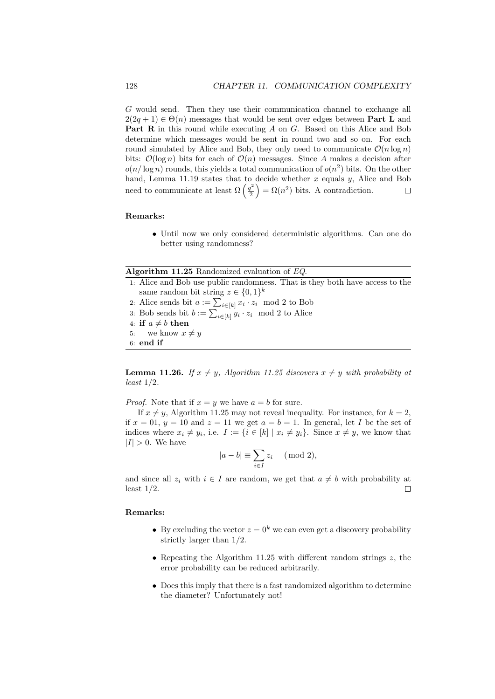G would send. Then they use their communication channel to exchange all  $2(2q + 1) \in \Theta(n)$  messages that would be sent over edges between **Part L** and Part R in this round while executing A on G. Based on this Alice and Bob determine which messages would be sent in round two and so on. For each round simulated by Alice and Bob, they only need to communicate  $\mathcal{O}(n \log n)$ bits:  $\mathcal{O}(\log n)$  bits for each of  $\mathcal{O}(n)$  messages. Since A makes a decision after  $o(n/\log n)$  rounds, this yields a total communication of  $o(n^2)$  bits. On the other hand, Lemma 11.19 states that to decide whether x equals y, Alice and Bob need to communicate at least  $\Omega\left(\frac{q^2}{2}\right)$  $\left(\frac{q^2}{2}\right) = \Omega(n^2)$  bits. A contradiction.  $\Box$ 

### Remarks:

• Until now we only considered deterministic algorithms. Can one do better using randomness?

|  |  | Algorithm 11.25 Randomized evaluation of $EQ$ . |  |  |
|--|--|-------------------------------------------------|--|--|
|--|--|-------------------------------------------------|--|--|

- 1: Alice and Bob use public randomness. That is they both have access to the same random bit string  $z \in \{0,1\}^k$
- 2: Alice sends bit  $a := \sum_{i \in [k]} x_i \cdot z_i \mod 2$  to Bob
- 3: Bob sends bit  $b := \sum_{i \in [k]} y_i \cdot z_i \mod 2$  to Alice
- 4: if  $a \neq b$  then
- 5: we know  $x \neq y$
- 6: end if

**Lemma 11.26.** If  $x \neq y$ , Algorithm 11.25 discovers  $x \neq y$  with probability at  $least\ 1/2.$ 

*Proof.* Note that if  $x = y$  we have  $a = b$  for sure.

If  $x \neq y$ , Algorithm 11.25 may not reveal inequality. For instance, for  $k = 2$ , if  $x = 01$ ,  $y = 10$  and  $z = 11$  we get  $a = b = 1$ . In general, let I be the set of indices where  $x_i \neq y_i$ , i.e.  $I := \{i \in [k] \mid x_i \neq y_i\}$ . Since  $x \neq y$ , we know that  $|I| > 0$ . We have

$$
|a - b| \equiv \sum_{i \in I} z_i \pmod{2},
$$

and since all  $z_i$  with  $i \in I$  are random, we get that  $a \neq b$  with probability at least  $1/2$ .  $\Box$ 

# Remarks:

- By excluding the vector  $z = 0^k$  we can even get a discovery probability strictly larger than 1/2.
- Repeating the Algorithm 11.25 with different random strings  $z$ , the error probability can be reduced arbitrarily.
- Does this imply that there is a fast randomized algorithm to determine the diameter? Unfortunately not!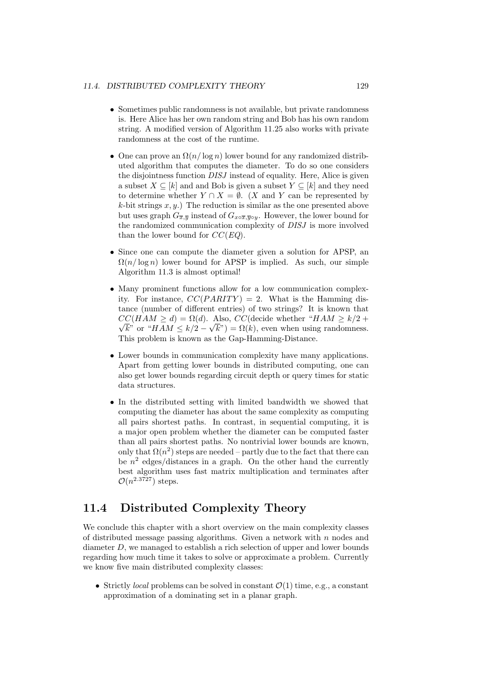- Sometimes public randomness is not available, but private randomness is. Here Alice has her own random string and Bob has his own random string. A modified version of Algorithm 11.25 also works with private randomness at the cost of the runtime.
- One can prove an  $\Omega(n/\log n)$  lower bound for any randomized distributed algorithm that computes the diameter. To do so one considers the disjointness function DISJ instead of equality. Here, Alice is given a subset  $X \subseteq [k]$  and and Bob is given a subset  $Y \subseteq [k]$  and they need to determine whether  $Y \cap X = \emptyset$ . (X and Y can be represented by  $k$ -bit strings  $x, y$ .) The reduction is similar as the one presented above but uses graph  $G_{\overline{x},\overline{y}}$  instead of  $G_{x \circ \overline{x},\overline{y} \circ y}$ . However, the lower bound for the randomized communication complexity of DISJ is more involved than the lower bound for  $CC(EO)$ .
- Since one can compute the diameter given a solution for APSP, an  $\Omega(n/\log n)$  lower bound for APSP is implied. As such, our simple Algorithm 11.3 is almost optimal!
- Many prominent functions allow for a low communication complexity. For instance,  $CC(PARTY) = 2$ . What is the Hamming distance (number of different entries) of two strings? It is known that  $CC(HAM \geq d) = \Omega(d)$ . Also,  $CC(\text{decide whether "HAM} \geq k/2 + \sqrt{k})$ k" or " $HAM \leq k/2 - \sqrt{k}$ ") =  $\Omega(k)$ , even when using randomness. This problem is known as the Gap-Hamming-Distance.
- Lower bounds in communication complexity have many applications. Apart from getting lower bounds in distributed computing, one can also get lower bounds regarding circuit depth or query times for static data structures.
- In the distributed setting with limited bandwidth we showed that computing the diameter has about the same complexity as computing all pairs shortest paths. In contrast, in sequential computing, it is a major open problem whether the diameter can be computed faster than all pairs shortest paths. No nontrivial lower bounds are known, only that  $\Omega(n^2)$  steps are needed – partly due to the fact that there can be  $n^2$  edges/distances in a graph. On the other hand the currently best algorithm uses fast matrix multiplication and terminates after  $\mathcal{O}(n^{2.3727})$  steps.

# 11.4 Distributed Complexity Theory

We conclude this chapter with a short overview on the main complexity classes of distributed message passing algorithms. Given a network with  $n$  nodes and diameter D, we managed to establish a rich selection of upper and lower bounds regarding how much time it takes to solve or approximate a problem. Currently we know five main distributed complexity classes:

• Strictly *local* problems can be solved in constant  $\mathcal{O}(1)$  time, e.g., a constant approximation of a dominating set in a planar graph.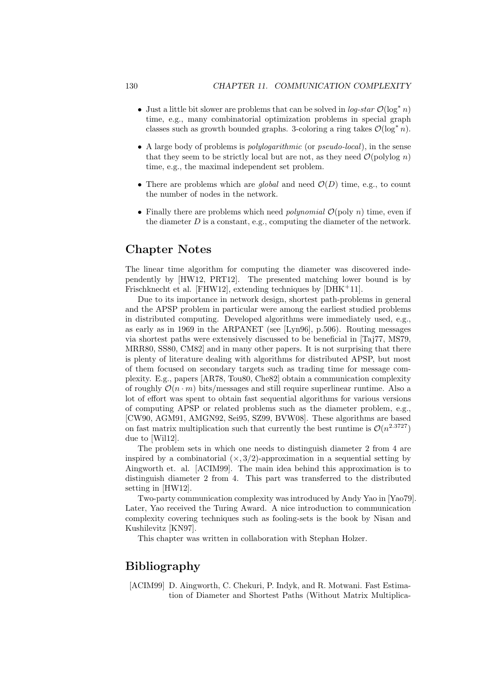- Just a little bit slower are problems that can be solved in  $log\text{-}star \ \mathcal{O}(\log^* n)$ time, e.g., many combinatorial optimization problems in special graph classes such as growth bounded graphs. 3-coloring a ring takes  $\mathcal{O}(\log^* n)$ .
- A large body of problems is *polylogarithmic* (or *pseudo-local*), in the sense that they seem to be strictly local but are not, as they need  $\mathcal{O}(\text{polylog } n)$ time, e.g., the maximal independent set problem.
- There are problems which are global and need  $\mathcal{O}(D)$  time, e.g., to count the number of nodes in the network.
- Finally there are problems which need *polynomial*  $\mathcal{O}(\text{poly } n)$  time, even if the diameter  $D$  is a constant, e.g., computing the diameter of the network.

# Chapter Notes

The linear time algorithm for computing the diameter was discovered independently by [HW12, PRT12]. The presented matching lower bound is by Frischknecht et al. [FHW12], extending techniques by  $[DHK+11]$ .

Due to its importance in network design, shortest path-problems in general and the APSP problem in particular were among the earliest studied problems in distributed computing. Developed algorithms were immediately used, e.g., as early as in 1969 in the ARPANET (see [Lyn96], p.506). Routing messages via shortest paths were extensively discussed to be beneficial in [Taj77, MS79, MRR80, SS80, CM82] and in many other papers. It is not surprising that there is plenty of literature dealing with algorithms for distributed APSP, but most of them focused on secondary targets such as trading time for message complexity. E.g., papers [AR78, Tou80, Che82] obtain a communication complexity of roughly  $\mathcal{O}(n \cdot m)$  bits/messages and still require superlinear runtime. Also a lot of effort was spent to obtain fast sequential algorithms for various versions of computing APSP or related problems such as the diameter problem, e.g., [CW90, AGM91, AMGN92, Sei95, SZ99, BVW08]. These algorithms are based on fast matrix multiplication such that currently the best runtime is  $\mathcal{O}(n^{2.3727})$ due to [Wil12].

The problem sets in which one needs to distinguish diameter 2 from 4 are inspired by a combinatorial  $(\times, 3/2)$ -approximation in a sequential setting by Aingworth et. al. [ACIM99]. The main idea behind this approximation is to distinguish diameter 2 from 4. This part was transferred to the distributed setting in [HW12].

Two-party communication complexity was introduced by Andy Yao in [Yao79]. Later, Yao received the Turing Award. A nice introduction to communication complexity covering techniques such as fooling-sets is the book by Nisan and Kushilevitz [KN97].

This chapter was written in collaboration with Stephan Holzer.

# Bibliography

[ACIM99] D. Aingworth, C. Chekuri, P. Indyk, and R. Motwani. Fast Estimation of Diameter and Shortest Paths (Without Matrix Multiplica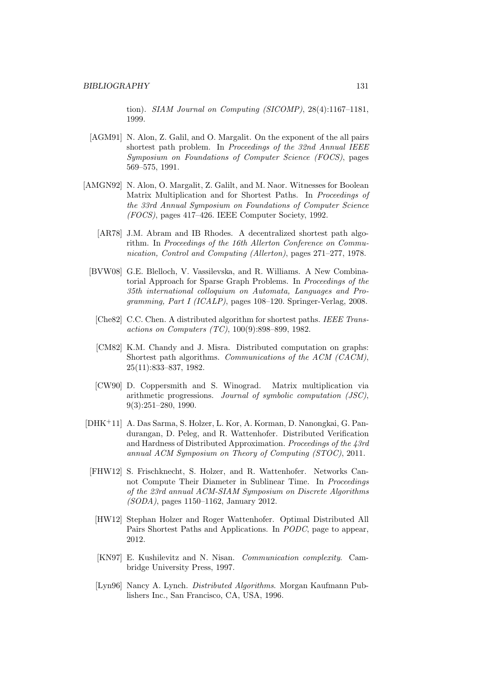tion). SIAM Journal on Computing (SICOMP), 28(4):1167–1181, 1999.

- [AGM91] N. Alon, Z. Galil, and O. Margalit. On the exponent of the all pairs shortest path problem. In Proceedings of the 32nd Annual IEEE Symposium on Foundations of Computer Science (FOCS), pages 569–575, 1991.
- [AMGN92] N. Alon, O. Margalit, Z. Galilt, and M. Naor. Witnesses for Boolean Matrix Multiplication and for Shortest Paths. In Proceedings of the 33rd Annual Symposium on Foundations of Computer Science (FOCS), pages 417–426. IEEE Computer Society, 1992.
	- [AR78] J.M. Abram and IB Rhodes. A decentralized shortest path algorithm. In Proceedings of the 16th Allerton Conference on Communication, Control and Computing (Allerton), pages 271–277, 1978.
	- [BVW08] G.E. Blelloch, V. Vassilevska, and R. Williams. A New Combinatorial Approach for Sparse Graph Problems. In Proceedings of the 35th international colloquium on Automata, Languages and Programming, Part I (ICALP), pages 108–120. Springer-Verlag, 2008.
		- [Che82] C.C. Chen. A distributed algorithm for shortest paths. IEEE Transactions on Computers (TC), 100(9):898–899, 1982.
		- [CM82] K.M. Chandy and J. Misra. Distributed computation on graphs: Shortest path algorithms. Communications of the ACM (CACM), 25(11):833–837, 1982.
	- [CW90] D. Coppersmith and S. Winograd. Matrix multiplication via arithmetic progressions. Journal of symbolic computation (JSC), 9(3):251–280, 1990.
- [DHK+11] A. Das Sarma, S. Holzer, L. Kor, A. Korman, D. Nanongkai, G. Pandurangan, D. Peleg, and R. Wattenhofer. Distributed Verification and Hardness of Distributed Approximation. Proceedings of the 43rd annual ACM Symposium on Theory of Computing (STOC), 2011.
- [FHW12] S. Frischknecht, S. Holzer, and R. Wattenhofer. Networks Cannot Compute Their Diameter in Sublinear Time. In Proceedings of the 23rd annual ACM-SIAM Symposium on Discrete Algorithms (SODA), pages 1150–1162, January 2012.
- [HW12] Stephan Holzer and Roger Wattenhofer. Optimal Distributed All Pairs Shortest Paths and Applications. In PODC, page to appear, 2012.
- [KN97] E. Kushilevitz and N. Nisan. Communication complexity. Cambridge University Press, 1997.
- [Lyn96] Nancy A. Lynch. Distributed Algorithms. Morgan Kaufmann Publishers Inc., San Francisco, CA, USA, 1996.